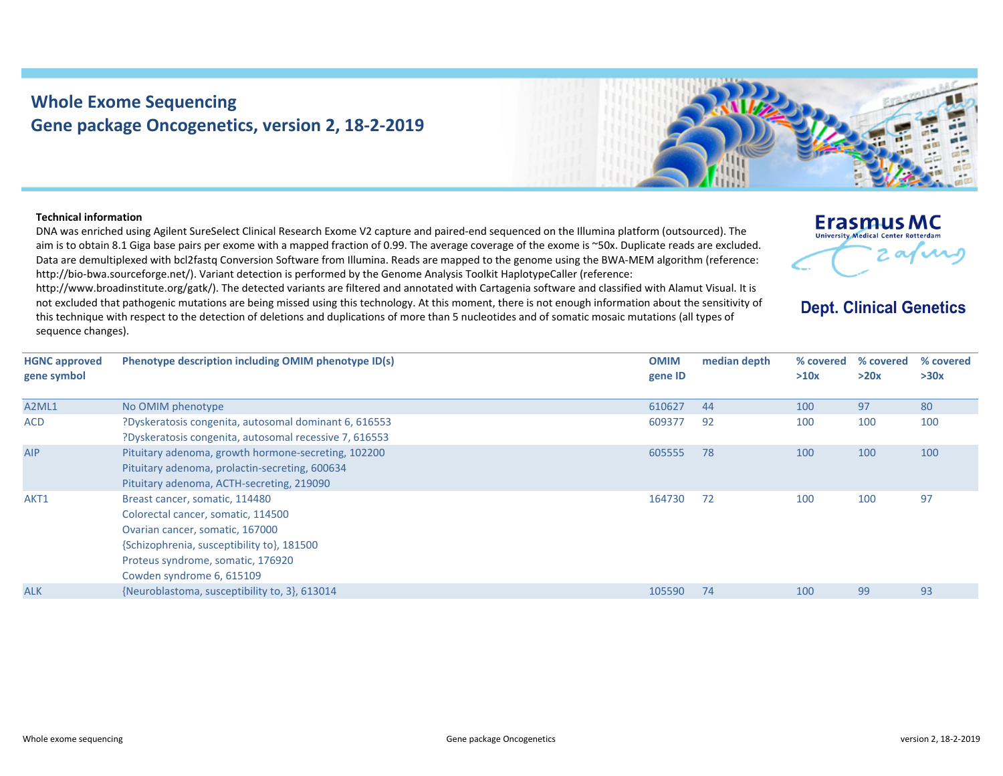## **Whole Exome Sequencing Gene package Oncogenetics, version 2, 18‐2‐2019**



## **Technical information**

DNA was enriched using Agilent SureSelect Clinical Research Exome V2 capture and paired‐end sequenced on the Illumina platform (outsourced). The aim is to obtain 8.1 Giga base pairs per exome with <sup>a</sup> mapped fraction of 0.99. The average coverage of the exome is ~50x. Duplicate reads are excluded. Data are demultiplexed with bcl2fastq Conversion Software from Illumina. Reads are mapped to the genome using the BWA‐MEM algorithm (reference: http://bio-bwa.sourceforge.net/). Variant detection is performed by the Genome Analysis Toolkit HaplotypeCaller (reference:

http://www.broadinstitute.org/gatk/). The detected variants are filtered and annotated with Cartagenia software and classified with Alamut Visual. It is not excluded that pathogenic mutations are being missed using this technology. At this moment, there is not enough information about the sensitivity of this technique with respect to the detection of deletions and duplications of more than 5 nucleotides and of somatic mosaic mutations (all types of sequence changes).

|  | <b>Erasmus MC</b>                          |    |  |
|--|--------------------------------------------|----|--|
|  | <b>University Medical Center Rotterdam</b> |    |  |
|  |                                            | —. |  |

**Dept. Clinical Genetics** 

| <b>HGNC</b> approved | Phenotype description including OMIM phenotype ID(s)                                                                                                                                                                    | <b>OMIM</b> | median depth | % covered | % covered | % covered |
|----------------------|-------------------------------------------------------------------------------------------------------------------------------------------------------------------------------------------------------------------------|-------------|--------------|-----------|-----------|-----------|
| gene symbol          |                                                                                                                                                                                                                         | gene ID     |              | >10x      | >20x      | >30x      |
| A2ML1                | No OMIM phenotype                                                                                                                                                                                                       | 610627      | 44           | 100       | 97        | 80        |
| <b>ACD</b>           | ?Dyskeratosis congenita, autosomal dominant 6, 616553<br>?Dyskeratosis congenita, autosomal recessive 7, 616553                                                                                                         | 609377      | 92           | 100       | 100       | 100       |
| <b>AIP</b>           | Pituitary adenoma, growth hormone-secreting, 102200<br>Pituitary adenoma, prolactin-secreting, 600634<br>Pituitary adenoma, ACTH-secreting, 219090                                                                      | 605555      | 78           | 100       | 100       | 100       |
| AKT1                 | Breast cancer, somatic, 114480<br>Colorectal cancer, somatic, 114500<br>Ovarian cancer, somatic, 167000<br>{Schizophrenia, susceptibility to}, 181500<br>Proteus syndrome, somatic, 176920<br>Cowden syndrome 6, 615109 | 164730      | 72           | 100       | 100       | 97        |
| <b>ALK</b>           | {Neuroblastoma, susceptibility to, 3}, 613014                                                                                                                                                                           | 105590      | 74           | 100       | 99        | 93        |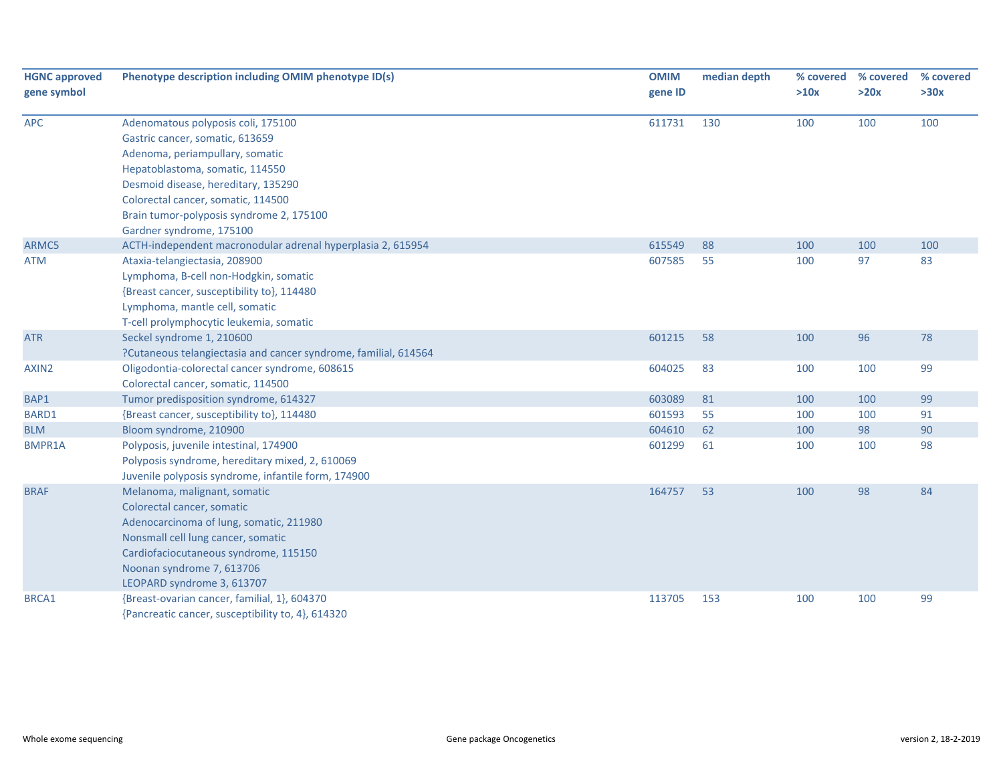| <b>HGNC approved</b> | Phenotype description including OMIM phenotype ID(s)            | <b>OMIM</b> | median depth | % covered | % covered | % covered |
|----------------------|-----------------------------------------------------------------|-------------|--------------|-----------|-----------|-----------|
| gene symbol          |                                                                 | gene ID     |              | >10x      | >20x      | >30x      |
| <b>APC</b>           | Adenomatous polyposis coli, 175100                              | 611731      | 130          | 100       | 100       | 100       |
|                      | Gastric cancer, somatic, 613659                                 |             |              |           |           |           |
|                      | Adenoma, periampullary, somatic                                 |             |              |           |           |           |
|                      | Hepatoblastoma, somatic, 114550                                 |             |              |           |           |           |
|                      | Desmoid disease, hereditary, 135290                             |             |              |           |           |           |
|                      | Colorectal cancer, somatic, 114500                              |             |              |           |           |           |
|                      | Brain tumor-polyposis syndrome 2, 175100                        |             |              |           |           |           |
|                      | Gardner syndrome, 175100                                        |             |              |           |           |           |
| ARMC5                | ACTH-independent macronodular adrenal hyperplasia 2, 615954     | 615549      | 88           | 100       | 100       | 100       |
| <b>ATM</b>           | Ataxia-telangiectasia, 208900                                   | 607585      | 55           | 100       | 97        | 83        |
|                      | Lymphoma, B-cell non-Hodgkin, somatic                           |             |              |           |           |           |
|                      | {Breast cancer, susceptibility to}, 114480                      |             |              |           |           |           |
|                      | Lymphoma, mantle cell, somatic                                  |             |              |           |           |           |
|                      | T-cell prolymphocytic leukemia, somatic                         |             |              |           |           |           |
| <b>ATR</b>           | Seckel syndrome 1, 210600                                       | 601215      | 58           | 100       | 96        | 78        |
|                      | ?Cutaneous telangiectasia and cancer syndrome, familial, 614564 |             |              |           |           |           |
| AXIN2                | Oligodontia-colorectal cancer syndrome, 608615                  | 604025      | 83           | 100       | 100       | 99        |
|                      | Colorectal cancer, somatic, 114500                              |             |              |           |           |           |
| BAP1                 | Tumor predisposition syndrome, 614327                           | 603089      | 81           | 100       | 100       | 99        |
| BARD1                | {Breast cancer, susceptibility to}, 114480                      | 601593      | 55           | 100       | 100       | 91        |
| <b>BLM</b>           | Bloom syndrome, 210900                                          | 604610      | 62           | 100       | 98        | 90        |
| <b>BMPR1A</b>        | Polyposis, juvenile intestinal, 174900                          | 601299      | 61           | 100       | 100       | 98        |
|                      | Polyposis syndrome, hereditary mixed, 2, 610069                 |             |              |           |           |           |
|                      | Juvenile polyposis syndrome, infantile form, 174900             |             |              |           |           |           |
| <b>BRAF</b>          | Melanoma, malignant, somatic                                    | 164757      | 53           | 100       | 98        | 84        |
|                      | Colorectal cancer, somatic                                      |             |              |           |           |           |
|                      | Adenocarcinoma of lung, somatic, 211980                         |             |              |           |           |           |
|                      | Nonsmall cell lung cancer, somatic                              |             |              |           |           |           |
|                      | Cardiofaciocutaneous syndrome, 115150                           |             |              |           |           |           |
|                      | Noonan syndrome 7, 613706                                       |             |              |           |           |           |
|                      | LEOPARD syndrome 3, 613707                                      |             |              |           |           |           |
| BRCA1                | {Breast-ovarian cancer, familial, 1}, 604370                    | 113705      | 153          | 100       | 100       | 99        |
|                      | {Pancreatic cancer, susceptibility to, 4}, 614320               |             |              |           |           |           |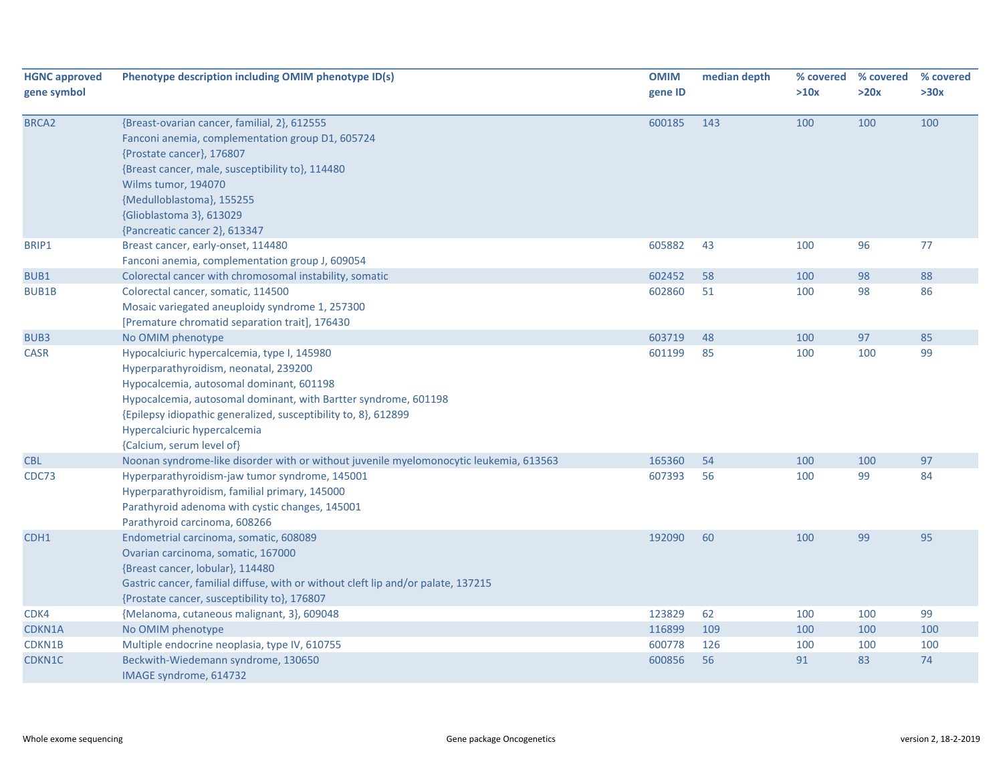| <b>HGNC approved</b><br>gene symbol | Phenotype description including OMIM phenotype ID(s)                                                                                                                                                                                                                                                                                | <b>OMIM</b><br>gene ID | median depth | % covered<br>>10x | % covered<br>>20x | % covered<br>>30x |
|-------------------------------------|-------------------------------------------------------------------------------------------------------------------------------------------------------------------------------------------------------------------------------------------------------------------------------------------------------------------------------------|------------------------|--------------|-------------------|-------------------|-------------------|
| BRCA <sub>2</sub>                   | {Breast-ovarian cancer, familial, 2}, 612555<br>Fanconi anemia, complementation group D1, 605724<br>{Prostate cancer}, 176807<br>{Breast cancer, male, susceptibility to}, 114480<br>Wilms tumor, 194070<br>{Medulloblastoma}, 155255<br>{Glioblastoma 3}, 613029<br>{Pancreatic cancer 2}, 613347                                  | 600185                 | 143          | 100               | 100               | 100               |
| BRIP1                               | Breast cancer, early-onset, 114480                                                                                                                                                                                                                                                                                                  | 605882                 | 43           | 100               | 96                | 77                |
| BUB1                                | Fanconi anemia, complementation group J, 609054<br>Colorectal cancer with chromosomal instability, somatic                                                                                                                                                                                                                          | 602452                 | 58           | 100               | 98                | 88                |
| BUB1B                               | Colorectal cancer, somatic, 114500<br>Mosaic variegated aneuploidy syndrome 1, 257300<br>[Premature chromatid separation trait], 176430                                                                                                                                                                                             | 602860                 | 51           | 100               | 98                | 86                |
| BUB3                                | No OMIM phenotype                                                                                                                                                                                                                                                                                                                   | 603719                 | 48           | 100               | 97                | 85                |
| <b>CASR</b>                         | Hypocalciuric hypercalcemia, type I, 145980<br>Hyperparathyroidism, neonatal, 239200<br>Hypocalcemia, autosomal dominant, 601198<br>Hypocalcemia, autosomal dominant, with Bartter syndrome, 601198<br>{Epilepsy idiopathic generalized, susceptibility to, 8}, 612899<br>Hypercalciuric hypercalcemia<br>{Calcium, serum level of} | 601199                 | 85           | 100               | 100               | 99                |
| <b>CBL</b>                          | Noonan syndrome-like disorder with or without juvenile myelomonocytic leukemia, 613563                                                                                                                                                                                                                                              | 165360                 | 54           | 100               | 100               | 97                |
| CDC73                               | Hyperparathyroidism-jaw tumor syndrome, 145001<br>Hyperparathyroidism, familial primary, 145000<br>Parathyroid adenoma with cystic changes, 145001<br>Parathyroid carcinoma, 608266                                                                                                                                                 | 607393                 | 56           | 100               | 99                | 84                |
| CDH1                                | Endometrial carcinoma, somatic, 608089<br>Ovarian carcinoma, somatic, 167000<br>{Breast cancer, lobular}, 114480<br>Gastric cancer, familial diffuse, with or without cleft lip and/or palate, 137215<br>{Prostate cancer, susceptibility to}, 176807                                                                               | 192090                 | 60           | 100               | 99                | 95                |
| CDK4                                | {Melanoma, cutaneous malignant, 3}, 609048                                                                                                                                                                                                                                                                                          | 123829                 | 62           | 100               | 100               | 99                |
| CDKN1A                              | No OMIM phenotype                                                                                                                                                                                                                                                                                                                   | 116899                 | 109          | 100               | 100               | 100               |
| CDKN1B                              | Multiple endocrine neoplasia, type IV, 610755                                                                                                                                                                                                                                                                                       | 600778                 | 126          | 100               | 100               | 100               |
| CDKN1C                              | Beckwith-Wiedemann syndrome, 130650<br>IMAGE syndrome, 614732                                                                                                                                                                                                                                                                       | 600856                 | 56           | 91                | 83                | 74                |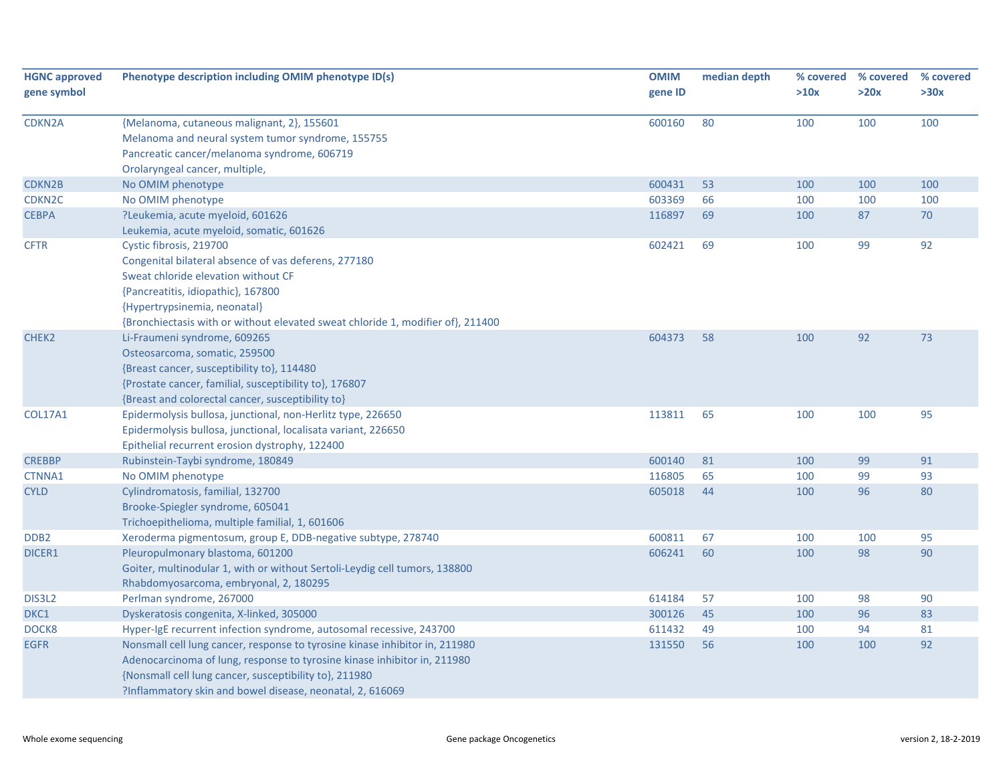| <b>HGNC approved</b> | Phenotype description including OMIM phenotype ID(s)                            | <b>OMIM</b> | median depth | % covered | % covered | % covered |
|----------------------|---------------------------------------------------------------------------------|-------------|--------------|-----------|-----------|-----------|
| gene symbol          |                                                                                 | gene ID     |              | >10x      | >20x      | >30x      |
| <b>CDKN2A</b>        | {Melanoma, cutaneous malignant, 2}, 155601                                      | 600160      | 80           | 100       | 100       | 100       |
|                      | Melanoma and neural system tumor syndrome, 155755                               |             |              |           |           |           |
|                      | Pancreatic cancer/melanoma syndrome, 606719                                     |             |              |           |           |           |
|                      | Orolaryngeal cancer, multiple,                                                  |             |              |           |           |           |
| CDKN2B               | No OMIM phenotype                                                               | 600431      | 53           | 100       | 100       | 100       |
| CDKN <sub>2C</sub>   | No OMIM phenotype                                                               | 603369      | 66           | 100       | 100       | 100       |
| <b>CEBPA</b>         | ?Leukemia, acute myeloid, 601626                                                | 116897      | 69           | 100       | 87        | 70        |
|                      | Leukemia, acute myeloid, somatic, 601626                                        |             |              |           |           |           |
| <b>CFTR</b>          | Cystic fibrosis, 219700                                                         | 602421      | 69           | 100       | 99        | 92        |
|                      | Congenital bilateral absence of vas deferens, 277180                            |             |              |           |           |           |
|                      | Sweat chloride elevation without CF                                             |             |              |           |           |           |
|                      | {Pancreatitis, idiopathic}, 167800                                              |             |              |           |           |           |
|                      | {Hypertrypsinemia, neonatal}                                                    |             |              |           |           |           |
|                      | {Bronchiectasis with or without elevated sweat chloride 1, modifier of}, 211400 |             |              |           |           |           |
| CHEK2                | Li-Fraumeni syndrome, 609265                                                    | 604373      | 58           | 100       | 92        | 73        |
|                      | Osteosarcoma, somatic, 259500                                                   |             |              |           |           |           |
|                      | {Breast cancer, susceptibility to}, 114480                                      |             |              |           |           |           |
|                      | {Prostate cancer, familial, susceptibility to}, 176807                          |             |              |           |           |           |
|                      | {Breast and colorectal cancer, susceptibility to}                               |             |              |           |           |           |
| <b>COL17A1</b>       | Epidermolysis bullosa, junctional, non-Herlitz type, 226650                     | 113811      | 65           | 100       | 100       | 95        |
|                      | Epidermolysis bullosa, junctional, localisata variant, 226650                   |             |              |           |           |           |
|                      | Epithelial recurrent erosion dystrophy, 122400                                  |             |              |           |           |           |
| <b>CREBBP</b>        | Rubinstein-Taybi syndrome, 180849                                               | 600140      | 81           | 100       | 99        | 91        |
| CTNNA1               | No OMIM phenotype                                                               | 116805      | 65           | 100       | 99        | 93        |
| <b>CYLD</b>          | Cylindromatosis, familial, 132700                                               | 605018      | 44           | 100       | 96        | 80        |
|                      | Brooke-Spiegler syndrome, 605041                                                |             |              |           |           |           |
|                      | Trichoepithelioma, multiple familial, 1, 601606                                 |             |              |           |           |           |
| DDB <sub>2</sub>     | Xeroderma pigmentosum, group E, DDB-negative subtype, 278740                    | 600811      | 67           | 100       | 100       | 95        |
| DICER1               | Pleuropulmonary blastoma, 601200                                                | 606241      | 60           | 100       | 98        | 90        |
|                      | Goiter, multinodular 1, with or without Sertoli-Leydig cell tumors, 138800      |             |              |           |           |           |
|                      | Rhabdomyosarcoma, embryonal, 2, 180295                                          |             |              |           |           |           |
| DIS3L2               | Perlman syndrome, 267000                                                        | 614184      | 57           | 100       | 98        | 90        |
| DKC1                 | Dyskeratosis congenita, X-linked, 305000                                        | 300126      | 45           | 100       | 96        | 83        |
| DOCK8                | Hyper-IgE recurrent infection syndrome, autosomal recessive, 243700             | 611432      | 49           | 100       | 94        | 81        |
| <b>EGFR</b>          | Nonsmall cell lung cancer, response to tyrosine kinase inhibitor in, 211980     | 131550      | 56           | 100       | 100       | 92        |
|                      | Adenocarcinoma of lung, response to tyrosine kinase inhibitor in, 211980        |             |              |           |           |           |
|                      | {Nonsmall cell lung cancer, susceptibility to}, 211980                          |             |              |           |           |           |
|                      | ?Inflammatory skin and bowel disease, neonatal, 2, 616069                       |             |              |           |           |           |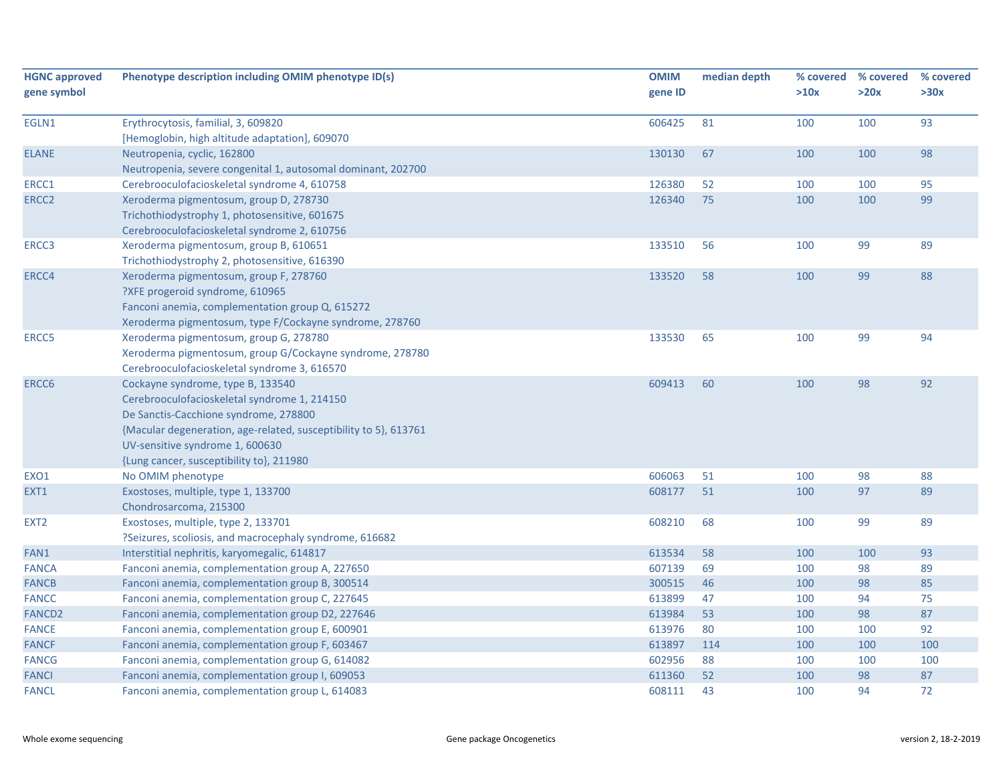| <b>HGNC approved</b><br>gene symbol | Phenotype description including OMIM phenotype ID(s)                                                                                                                                                                                                                          | <b>OMIM</b><br>gene ID | median depth | % covered<br>>10x | % covered<br>>20x | % covered<br>>30x |
|-------------------------------------|-------------------------------------------------------------------------------------------------------------------------------------------------------------------------------------------------------------------------------------------------------------------------------|------------------------|--------------|-------------------|-------------------|-------------------|
| EGLN1                               | Erythrocytosis, familial, 3, 609820<br>[Hemoglobin, high altitude adaptation], 609070                                                                                                                                                                                         | 606425                 | 81           | 100               | 100               | 93                |
| <b>ELANE</b>                        | Neutropenia, cyclic, 162800<br>Neutropenia, severe congenital 1, autosomal dominant, 202700                                                                                                                                                                                   | 130130                 | 67           | 100               | 100               | 98                |
| ERCC1                               | Cerebrooculofacioskeletal syndrome 4, 610758                                                                                                                                                                                                                                  | 126380                 | 52           | 100               | 100               | 95                |
| ERCC2                               | Xeroderma pigmentosum, group D, 278730<br>Trichothiodystrophy 1, photosensitive, 601675<br>Cerebrooculofacioskeletal syndrome 2, 610756                                                                                                                                       | 126340                 | 75           | 100               | 100               | 99                |
| ERCC3                               | Xeroderma pigmentosum, group B, 610651<br>Trichothiodystrophy 2, photosensitive, 616390                                                                                                                                                                                       | 133510                 | 56           | 100               | 99                | 89                |
| ERCC4                               | Xeroderma pigmentosum, group F, 278760<br>?XFE progeroid syndrome, 610965<br>Fanconi anemia, complementation group Q, 615272<br>Xeroderma pigmentosum, type F/Cockayne syndrome, 278760                                                                                       | 133520                 | 58           | 100               | 99                | 88                |
| ERCC5                               | Xeroderma pigmentosum, group G, 278780<br>Xeroderma pigmentosum, group G/Cockayne syndrome, 278780<br>Cerebrooculofacioskeletal syndrome 3, 616570                                                                                                                            | 133530                 | 65           | 100               | 99                | 94                |
| ERCC6                               | Cockayne syndrome, type B, 133540<br>Cerebrooculofacioskeletal syndrome 1, 214150<br>De Sanctis-Cacchione syndrome, 278800<br>{Macular degeneration, age-related, susceptibility to 5}, 613761<br>UV-sensitive syndrome 1, 600630<br>{Lung cancer, susceptibility to}, 211980 | 609413                 | 60           | 100               | 98                | 92                |
| EXO1                                | No OMIM phenotype                                                                                                                                                                                                                                                             | 606063                 | 51           | 100               | 98                | 88                |
| EXT1                                | Exostoses, multiple, type 1, 133700<br>Chondrosarcoma, 215300                                                                                                                                                                                                                 | 608177                 | 51           | 100               | 97                | 89                |
| EXT <sub>2</sub>                    | Exostoses, multiple, type 2, 133701<br>?Seizures, scoliosis, and macrocephaly syndrome, 616682                                                                                                                                                                                | 608210                 | 68           | 100               | 99                | 89                |
| FAN1                                | Interstitial nephritis, karyomegalic, 614817                                                                                                                                                                                                                                  | 613534                 | 58           | 100               | 100               | 93                |
| <b>FANCA</b>                        | Fanconi anemia, complementation group A, 227650                                                                                                                                                                                                                               | 607139                 | 69           | 100               | 98                | 89                |
| <b>FANCB</b>                        | Fanconi anemia, complementation group B, 300514                                                                                                                                                                                                                               | 300515                 | 46           | 100               | 98                | 85                |
| <b>FANCC</b>                        | Fanconi anemia, complementation group C, 227645                                                                                                                                                                                                                               | 613899                 | 47           | 100               | 94                | 75                |
| <b>FANCD2</b>                       | Fanconi anemia, complementation group D2, 227646                                                                                                                                                                                                                              | 613984                 | 53           | 100               | 98                | 87                |
| <b>FANCE</b>                        | Fanconi anemia, complementation group E, 600901                                                                                                                                                                                                                               | 613976                 | 80           | 100               | 100               | 92                |
| <b>FANCF</b>                        | Fanconi anemia, complementation group F, 603467                                                                                                                                                                                                                               | 613897                 | 114          | 100               | 100               | 100               |
| <b>FANCG</b>                        | Fanconi anemia, complementation group G, 614082                                                                                                                                                                                                                               | 602956                 | 88           | 100               | 100               | 100               |
| <b>FANCI</b>                        | Fanconi anemia, complementation group I, 609053                                                                                                                                                                                                                               | 611360                 | 52           | 100               | 98                | 87                |
| <b>FANCL</b>                        | Fanconi anemia, complementation group L, 614083                                                                                                                                                                                                                               | 608111                 | 43           | 100               | 94                | 72                |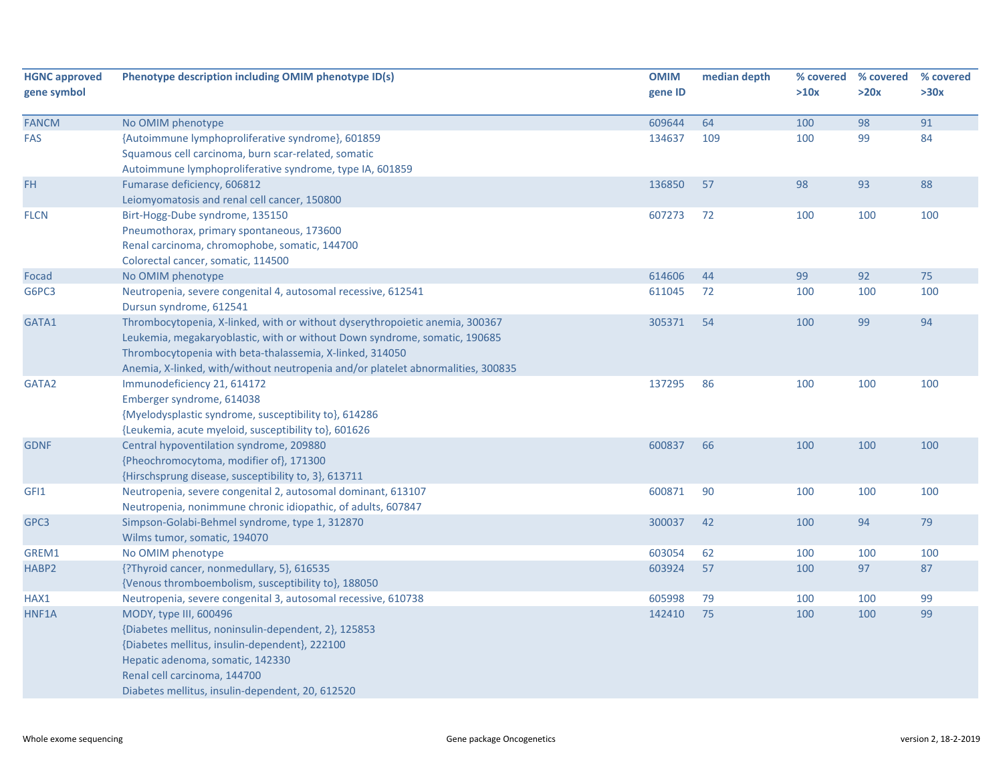| <b>HGNC approved</b><br>gene symbol | Phenotype description including OMIM phenotype ID(s)                                                                                                                                                                                                                                                       | <b>OMIM</b><br>gene ID | median depth | % covered<br>>10x | % covered<br>>20x | % covered<br>>30x |
|-------------------------------------|------------------------------------------------------------------------------------------------------------------------------------------------------------------------------------------------------------------------------------------------------------------------------------------------------------|------------------------|--------------|-------------------|-------------------|-------------------|
| <b>FANCM</b>                        | No OMIM phenotype                                                                                                                                                                                                                                                                                          | 609644                 | 64           | 100               | 98                | 91                |
| <b>FAS</b>                          | {Autoimmune lymphoproliferative syndrome}, 601859<br>Squamous cell carcinoma, burn scar-related, somatic<br>Autoimmune lymphoproliferative syndrome, type IA, 601859                                                                                                                                       | 134637                 | 109          | 100               | 99                | 84                |
| FH                                  | Fumarase deficiency, 606812<br>Leiomyomatosis and renal cell cancer, 150800                                                                                                                                                                                                                                | 136850                 | 57           | 98                | 93                | 88                |
| <b>FLCN</b>                         | Birt-Hogg-Dube syndrome, 135150<br>Pneumothorax, primary spontaneous, 173600<br>Renal carcinoma, chromophobe, somatic, 144700<br>Colorectal cancer, somatic, 114500                                                                                                                                        | 607273                 | 72           | 100               | 100               | 100               |
| Focad                               | No OMIM phenotype                                                                                                                                                                                                                                                                                          | 614606                 | 44           | 99                | 92                | 75                |
| G6PC3                               | Neutropenia, severe congenital 4, autosomal recessive, 612541<br>Dursun syndrome, 612541                                                                                                                                                                                                                   | 611045                 | 72           | 100               | 100               | 100               |
| GATA1                               | Thrombocytopenia, X-linked, with or without dyserythropoietic anemia, 300367<br>Leukemia, megakaryoblastic, with or without Down syndrome, somatic, 190685<br>Thrombocytopenia with beta-thalassemia, X-linked, 314050<br>Anemia, X-linked, with/without neutropenia and/or platelet abnormalities, 300835 | 305371                 | 54           | 100               | 99                | 94                |
| GATA2                               | Immunodeficiency 21, 614172<br>Emberger syndrome, 614038<br>{Myelodysplastic syndrome, susceptibility to}, 614286<br>{Leukemia, acute myeloid, susceptibility to}, 601626                                                                                                                                  | 137295                 | 86           | 100               | 100               | 100               |
| <b>GDNF</b>                         | Central hypoventilation syndrome, 209880<br>{Pheochromocytoma, modifier of}, 171300<br>{Hirschsprung disease, susceptibility to, 3}, 613711                                                                                                                                                                | 600837                 | 66           | 100               | 100               | 100               |
| GFI1                                | Neutropenia, severe congenital 2, autosomal dominant, 613107<br>Neutropenia, nonimmune chronic idiopathic, of adults, 607847                                                                                                                                                                               | 600871                 | 90           | 100               | 100               | 100               |
| GPC3                                | Simpson-Golabi-Behmel syndrome, type 1, 312870<br>Wilms tumor, somatic, 194070                                                                                                                                                                                                                             | 300037                 | 42           | 100               | 94                | 79                |
| GREM1                               | No OMIM phenotype                                                                                                                                                                                                                                                                                          | 603054                 | 62           | 100               | 100               | 100               |
| HABP2                               | {?Thyroid cancer, nonmedullary, 5}, 616535<br>{Venous thromboembolism, susceptibility to}, 188050                                                                                                                                                                                                          | 603924                 | 57           | 100               | 97                | 87                |
| HAX1                                | Neutropenia, severe congenital 3, autosomal recessive, 610738                                                                                                                                                                                                                                              | 605998                 | 79           | 100               | 100               | 99                |
| HNF1A                               | MODY, type III, 600496<br>{Diabetes mellitus, noninsulin-dependent, 2}, 125853<br>{Diabetes mellitus, insulin-dependent}, 222100<br>Hepatic adenoma, somatic, 142330<br>Renal cell carcinoma, 144700<br>Diabetes mellitus, insulin-dependent, 20, 612520                                                   | 142410                 | 75           | 100               | 100               | 99                |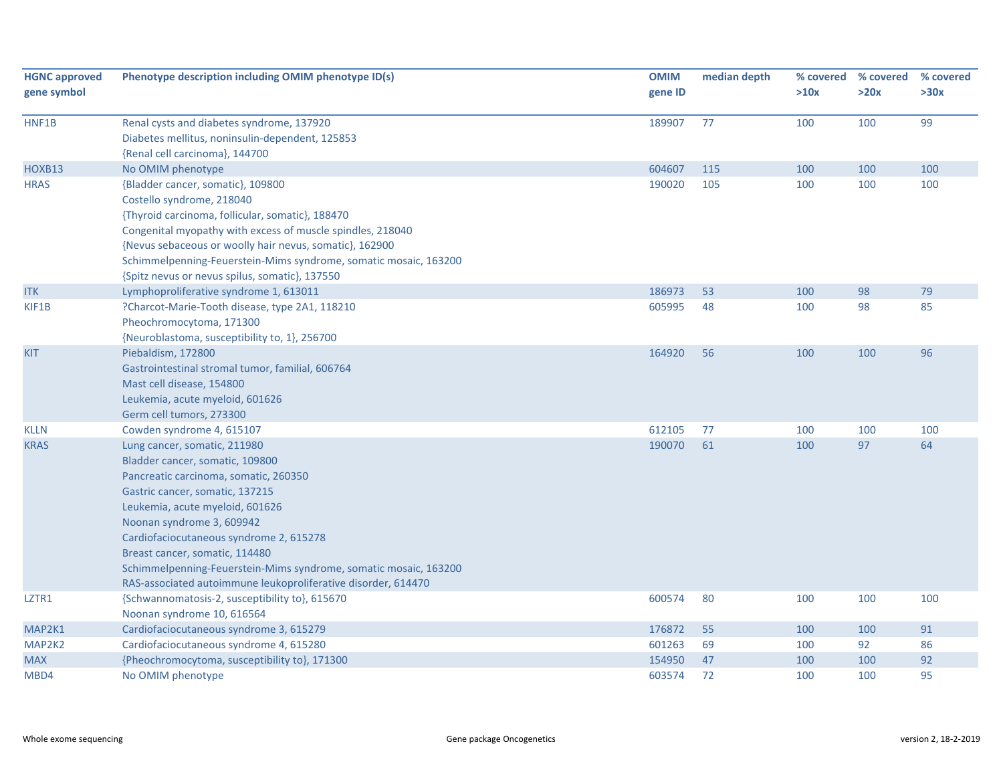| <b>HGNC approved</b><br>gene symbol | Phenotype description including OMIM phenotype ID(s)                                                                                                                                                                                                                                                                                                                                                                          | <b>OMIM</b><br>gene ID | median depth | >10x | % covered % covered<br>>20x | % covered<br>>30x |
|-------------------------------------|-------------------------------------------------------------------------------------------------------------------------------------------------------------------------------------------------------------------------------------------------------------------------------------------------------------------------------------------------------------------------------------------------------------------------------|------------------------|--------------|------|-----------------------------|-------------------|
| HNF1B                               | Renal cysts and diabetes syndrome, 137920<br>Diabetes mellitus, noninsulin-dependent, 125853<br>{Renal cell carcinoma}, 144700                                                                                                                                                                                                                                                                                                | 189907                 | 77           | 100  | 100                         | 99                |
| HOXB13                              | No OMIM phenotype                                                                                                                                                                                                                                                                                                                                                                                                             | 604607                 | 115          | 100  | 100                         | 100               |
| <b>HRAS</b>                         | {Bladder cancer, somatic}, 109800<br>Costello syndrome, 218040<br>{Thyroid carcinoma, follicular, somatic}, 188470<br>Congenital myopathy with excess of muscle spindles, 218040<br>{Nevus sebaceous or woolly hair nevus, somatic}, 162900<br>Schimmelpenning-Feuerstein-Mims syndrome, somatic mosaic, 163200<br>{Spitz nevus or nevus spilus, somatic}, 137550                                                             | 190020                 | 105          | 100  | 100                         | 100               |
| <b>ITK</b>                          | Lymphoproliferative syndrome 1, 613011                                                                                                                                                                                                                                                                                                                                                                                        | 186973                 | 53           | 100  | 98                          | 79                |
| KIF1B                               | ?Charcot-Marie-Tooth disease, type 2A1, 118210<br>Pheochromocytoma, 171300<br>{Neuroblastoma, susceptibility to, 1}, 256700                                                                                                                                                                                                                                                                                                   | 605995                 | 48           | 100  | 98                          | 85                |
| <b>KIT</b>                          | Piebaldism, 172800<br>Gastrointestinal stromal tumor, familial, 606764<br>Mast cell disease, 154800<br>Leukemia, acute myeloid, 601626<br>Germ cell tumors, 273300                                                                                                                                                                                                                                                            | 164920                 | 56           | 100  | 100                         | 96                |
| <b>KLLN</b>                         | Cowden syndrome 4, 615107                                                                                                                                                                                                                                                                                                                                                                                                     | 612105                 | 77           | 100  | 100                         | 100               |
| <b>KRAS</b>                         | Lung cancer, somatic, 211980<br>Bladder cancer, somatic, 109800<br>Pancreatic carcinoma, somatic, 260350<br>Gastric cancer, somatic, 137215<br>Leukemia, acute myeloid, 601626<br>Noonan syndrome 3, 609942<br>Cardiofaciocutaneous syndrome 2, 615278<br>Breast cancer, somatic, 114480<br>Schimmelpenning-Feuerstein-Mims syndrome, somatic mosaic, 163200<br>RAS-associated autoimmune leukoproliferative disorder, 614470 | 190070                 | 61           | 100  | 97                          | 64                |
| LZTR1                               | {Schwannomatosis-2, susceptibility to}, 615670<br>Noonan syndrome 10, 616564                                                                                                                                                                                                                                                                                                                                                  | 600574                 | 80           | 100  | 100                         | 100               |
| MAP2K1                              | Cardiofaciocutaneous syndrome 3, 615279                                                                                                                                                                                                                                                                                                                                                                                       | 176872                 | 55           | 100  | 100                         | 91                |
| MAP2K2                              | Cardiofaciocutaneous syndrome 4, 615280                                                                                                                                                                                                                                                                                                                                                                                       | 601263                 | 69           | 100  | 92                          | 86                |
| <b>MAX</b>                          | {Pheochromocytoma, susceptibility to}, 171300                                                                                                                                                                                                                                                                                                                                                                                 | 154950                 | 47           | 100  | 100                         | 92                |
| MBD4                                | No OMIM phenotype                                                                                                                                                                                                                                                                                                                                                                                                             | 603574                 | 72           | 100  | 100                         | 95                |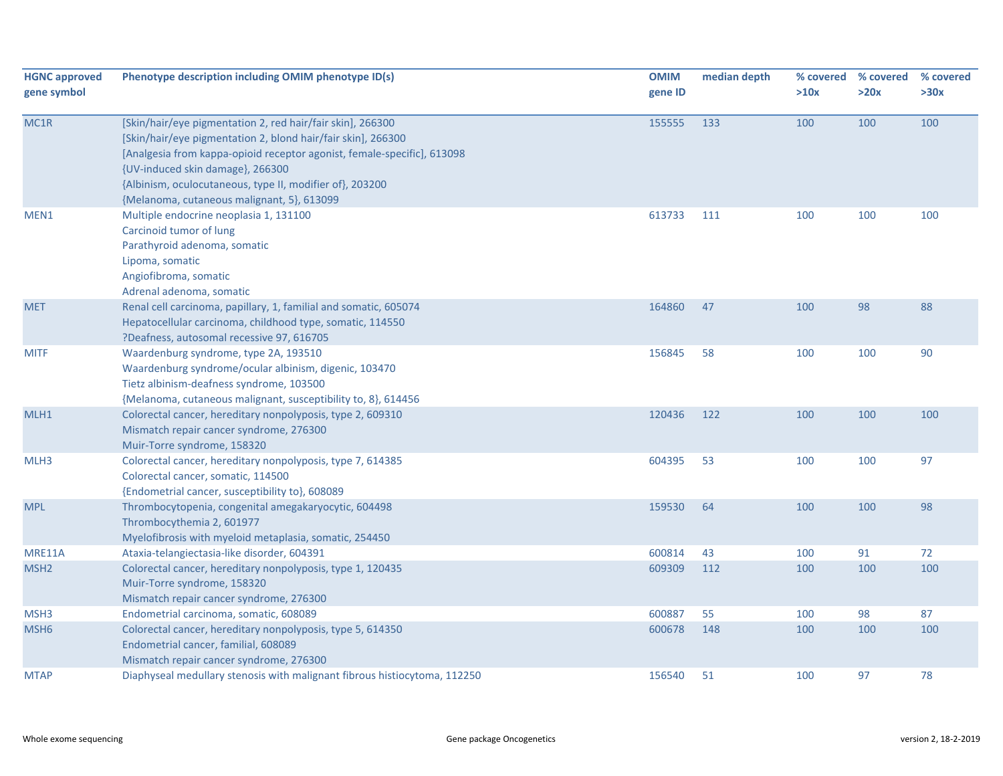| <b>HGNC approved</b><br>gene symbol | Phenotype description including OMIM phenotype ID(s)                                                                                                                                                                                                                                                                                                | <b>OMIM</b><br>gene ID | median depth | % covered<br>>10x | % covered<br>>20x | % covered<br>>30x |
|-------------------------------------|-----------------------------------------------------------------------------------------------------------------------------------------------------------------------------------------------------------------------------------------------------------------------------------------------------------------------------------------------------|------------------------|--------------|-------------------|-------------------|-------------------|
| MC1R                                | [Skin/hair/eye pigmentation 2, red hair/fair skin], 266300<br>[Skin/hair/eye pigmentation 2, blond hair/fair skin], 266300<br>[Analgesia from kappa-opioid receptor agonist, female-specific], 613098<br>{UV-induced skin damage}, 266300<br>{Albinism, oculocutaneous, type II, modifier of}, 203200<br>{Melanoma, cutaneous malignant, 5}, 613099 | 155555                 | 133          | 100               | 100               | 100               |
| MEN1                                | Multiple endocrine neoplasia 1, 131100<br>Carcinoid tumor of lung<br>Parathyroid adenoma, somatic<br>Lipoma, somatic<br>Angiofibroma, somatic<br>Adrenal adenoma, somatic                                                                                                                                                                           | 613733                 | 111          | 100               | 100               | 100               |
| <b>MET</b>                          | Renal cell carcinoma, papillary, 1, familial and somatic, 605074<br>Hepatocellular carcinoma, childhood type, somatic, 114550<br>?Deafness, autosomal recessive 97, 616705                                                                                                                                                                          | 164860                 | 47           | 100               | 98                | 88                |
| <b>MITF</b>                         | Waardenburg syndrome, type 2A, 193510<br>Waardenburg syndrome/ocular albinism, digenic, 103470<br>Tietz albinism-deafness syndrome, 103500<br>{Melanoma, cutaneous malignant, susceptibility to, 8}, 614456                                                                                                                                         | 156845                 | 58           | 100               | 100               | 90                |
| MLH1                                | Colorectal cancer, hereditary nonpolyposis, type 2, 609310<br>Mismatch repair cancer syndrome, 276300<br>Muir-Torre syndrome, 158320                                                                                                                                                                                                                | 120436                 | 122          | 100               | 100               | 100               |
| MLH3                                | Colorectal cancer, hereditary nonpolyposis, type 7, 614385<br>Colorectal cancer, somatic, 114500<br>{Endometrial cancer, susceptibility to}, 608089                                                                                                                                                                                                 | 604395                 | 53           | 100               | 100               | 97                |
| <b>MPL</b>                          | Thrombocytopenia, congenital amegakaryocytic, 604498<br>Thrombocythemia 2, 601977<br>Myelofibrosis with myeloid metaplasia, somatic, 254450                                                                                                                                                                                                         | 159530                 | 64           | 100               | 100               | 98                |
| MRE11A                              | Ataxia-telangiectasia-like disorder, 604391                                                                                                                                                                                                                                                                                                         | 600814                 | 43           | 100               | 91                | 72                |
| MSH <sub>2</sub>                    | Colorectal cancer, hereditary nonpolyposis, type 1, 120435<br>Muir-Torre syndrome, 158320<br>Mismatch repair cancer syndrome, 276300                                                                                                                                                                                                                | 609309                 | 112          | 100               | 100               | 100               |
| MSH3                                | Endometrial carcinoma, somatic, 608089                                                                                                                                                                                                                                                                                                              | 600887                 | 55           | 100               | 98                | 87                |
| MSH <sub>6</sub>                    | Colorectal cancer, hereditary nonpolyposis, type 5, 614350<br>Endometrial cancer, familial, 608089<br>Mismatch repair cancer syndrome, 276300                                                                                                                                                                                                       | 600678                 | 148          | 100               | 100               | 100               |
| <b>MTAP</b>                         | Diaphyseal medullary stenosis with malignant fibrous histiocytoma, 112250                                                                                                                                                                                                                                                                           | 156540                 | 51           | 100               | 97                | 78                |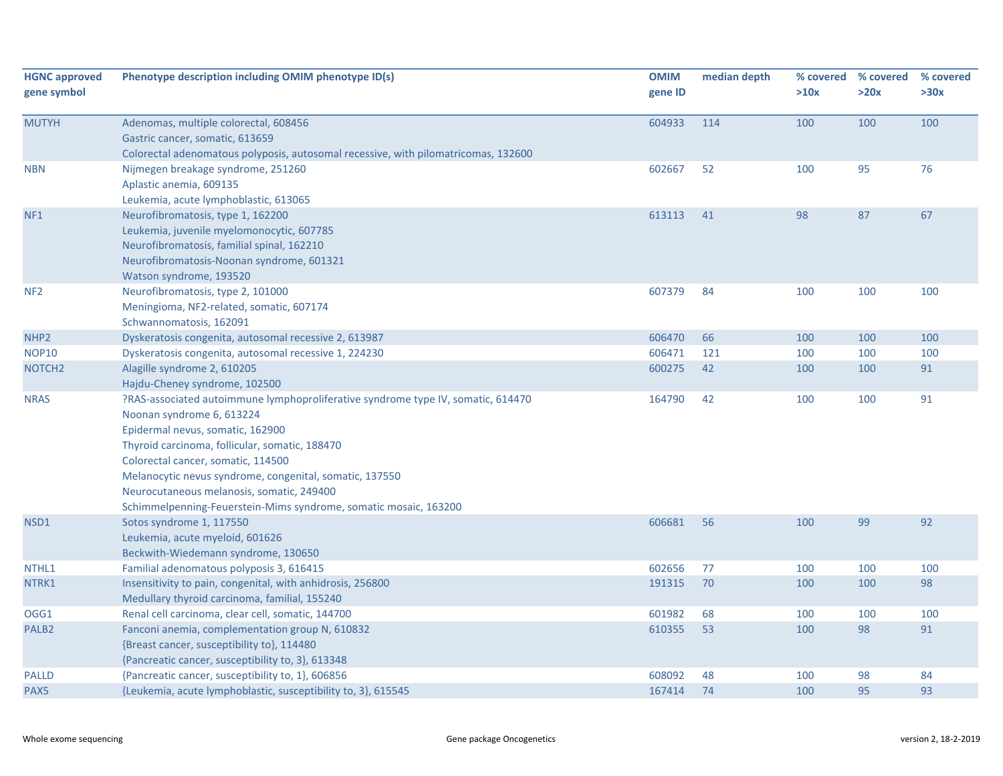| <b>HGNC approved</b><br>gene symbol | Phenotype description including OMIM phenotype ID(s)                                                                                                                                                                                                                                                                                                                                                                  | <b>OMIM</b><br>gene ID | median depth | >10x | % covered % covered<br>>20x | % covered<br>>30x |
|-------------------------------------|-----------------------------------------------------------------------------------------------------------------------------------------------------------------------------------------------------------------------------------------------------------------------------------------------------------------------------------------------------------------------------------------------------------------------|------------------------|--------------|------|-----------------------------|-------------------|
| <b>MUTYH</b>                        | Adenomas, multiple colorectal, 608456<br>Gastric cancer, somatic, 613659<br>Colorectal adenomatous polyposis, autosomal recessive, with pilomatricomas, 132600                                                                                                                                                                                                                                                        | 604933                 | 114          | 100  | 100                         | 100               |
| <b>NBN</b>                          | Nijmegen breakage syndrome, 251260<br>Aplastic anemia, 609135<br>Leukemia, acute lymphoblastic, 613065                                                                                                                                                                                                                                                                                                                | 602667                 | 52           | 100  | 95                          | 76                |
| NF <sub>1</sub>                     | Neurofibromatosis, type 1, 162200<br>Leukemia, juvenile myelomonocytic, 607785<br>Neurofibromatosis, familial spinal, 162210<br>Neurofibromatosis-Noonan syndrome, 601321<br>Watson syndrome, 193520                                                                                                                                                                                                                  | 613113                 | 41           | 98   | 87                          | 67                |
| NF <sub>2</sub>                     | Neurofibromatosis, type 2, 101000<br>Meningioma, NF2-related, somatic, 607174<br>Schwannomatosis, 162091                                                                                                                                                                                                                                                                                                              | 607379                 | 84           | 100  | 100                         | 100               |
| NHP <sub>2</sub>                    | Dyskeratosis congenita, autosomal recessive 2, 613987                                                                                                                                                                                                                                                                                                                                                                 | 606470                 | 66           | 100  | 100                         | 100               |
| <b>NOP10</b>                        | Dyskeratosis congenita, autosomal recessive 1, 224230                                                                                                                                                                                                                                                                                                                                                                 | 606471                 | 121          | 100  | 100                         | 100               |
| NOTCH <sub>2</sub>                  | Alagille syndrome 2, 610205<br>Hajdu-Cheney syndrome, 102500                                                                                                                                                                                                                                                                                                                                                          | 600275                 | 42           | 100  | 100                         | 91                |
| <b>NRAS</b>                         | ?RAS-associated autoimmune lymphoproliferative syndrome type IV, somatic, 614470<br>Noonan syndrome 6, 613224<br>Epidermal nevus, somatic, 162900<br>Thyroid carcinoma, follicular, somatic, 188470<br>Colorectal cancer, somatic, 114500<br>Melanocytic nevus syndrome, congenital, somatic, 137550<br>Neurocutaneous melanosis, somatic, 249400<br>Schimmelpenning-Feuerstein-Mims syndrome, somatic mosaic, 163200 | 164790                 | 42           | 100  | 100                         | 91                |
| NSD1                                | Sotos syndrome 1, 117550<br>Leukemia, acute myeloid, 601626<br>Beckwith-Wiedemann syndrome, 130650                                                                                                                                                                                                                                                                                                                    | 606681                 | 56           | 100  | 99                          | 92                |
| NTHL1                               | Familial adenomatous polyposis 3, 616415                                                                                                                                                                                                                                                                                                                                                                              | 602656                 | 77           | 100  | 100                         | 100               |
| NTRK1                               | Insensitivity to pain, congenital, with anhidrosis, 256800<br>Medullary thyroid carcinoma, familial, 155240                                                                                                                                                                                                                                                                                                           | 191315                 | 70           | 100  | 100                         | 98                |
| OGG1                                | Renal cell carcinoma, clear cell, somatic, 144700                                                                                                                                                                                                                                                                                                                                                                     | 601982                 | 68           | 100  | 100                         | 100               |
| PALB <sub>2</sub>                   | Fanconi anemia, complementation group N, 610832<br>{Breast cancer, susceptibility to}, 114480<br>{Pancreatic cancer, susceptibility to, 3}, 613348                                                                                                                                                                                                                                                                    | 610355                 | 53           | 100  | 98                          | 91                |
| <b>PALLD</b>                        | {Pancreatic cancer, susceptibility to, 1}, 606856                                                                                                                                                                                                                                                                                                                                                                     | 608092                 | 48           | 100  | 98                          | 84                |
| PAX5                                | {Leukemia, acute lymphoblastic, susceptibility to, 3}, 615545                                                                                                                                                                                                                                                                                                                                                         | 167414                 | 74           | 100  | 95                          | 93                |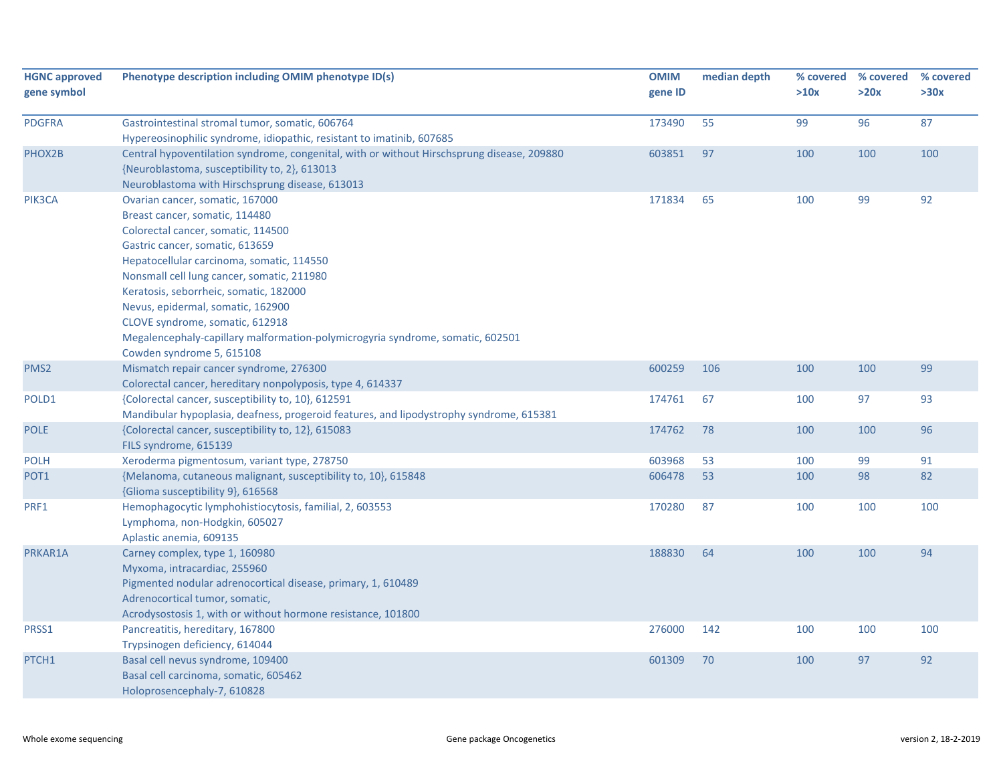| <b>HGNC approved</b><br>gene symbol | Phenotype description including OMIM phenotype ID(s)                                                                                                                                                                                                                                                                                                                                                                                                                   | <b>OMIM</b><br>gene ID | median depth | % covered<br>>10x | % covered<br>>20x | % covered<br>>30x |
|-------------------------------------|------------------------------------------------------------------------------------------------------------------------------------------------------------------------------------------------------------------------------------------------------------------------------------------------------------------------------------------------------------------------------------------------------------------------------------------------------------------------|------------------------|--------------|-------------------|-------------------|-------------------|
| <b>PDGFRA</b>                       | Gastrointestinal stromal tumor, somatic, 606764<br>Hypereosinophilic syndrome, idiopathic, resistant to imatinib, 607685                                                                                                                                                                                                                                                                                                                                               | 173490                 | 55           | 99                | 96                | 87                |
| PHOX2B                              | Central hypoventilation syndrome, congenital, with or without Hirschsprung disease, 209880<br>{Neuroblastoma, susceptibility to, 2}, 613013<br>Neuroblastoma with Hirschsprung disease, 613013                                                                                                                                                                                                                                                                         | 603851                 | 97           | 100               | 100               | 100               |
| PIK3CA                              | Ovarian cancer, somatic, 167000<br>Breast cancer, somatic, 114480<br>Colorectal cancer, somatic, 114500<br>Gastric cancer, somatic, 613659<br>Hepatocellular carcinoma, somatic, 114550<br>Nonsmall cell lung cancer, somatic, 211980<br>Keratosis, seborrheic, somatic, 182000<br>Nevus, epidermal, somatic, 162900<br>CLOVE syndrome, somatic, 612918<br>Megalencephaly-capillary malformation-polymicrogyria syndrome, somatic, 602501<br>Cowden syndrome 5, 615108 | 171834                 | 65           | 100               | 99                | 92                |
| PMS <sub>2</sub>                    | Mismatch repair cancer syndrome, 276300<br>Colorectal cancer, hereditary nonpolyposis, type 4, 614337                                                                                                                                                                                                                                                                                                                                                                  | 600259                 | 106          | 100               | 100               | 99                |
| POLD1                               | {Colorectal cancer, susceptibility to, 10}, 612591<br>Mandibular hypoplasia, deafness, progeroid features, and lipodystrophy syndrome, 615381                                                                                                                                                                                                                                                                                                                          | 174761                 | 67           | 100               | 97                | 93                |
| <b>POLE</b>                         | {Colorectal cancer, susceptibility to, 12}, 615083<br>FILS syndrome, 615139                                                                                                                                                                                                                                                                                                                                                                                            | 174762                 | 78           | 100               | 100               | 96                |
| <b>POLH</b>                         | Xeroderma pigmentosum, variant type, 278750                                                                                                                                                                                                                                                                                                                                                                                                                            | 603968                 | 53           | 100               | 99                | 91                |
| POT <sub>1</sub>                    | {Melanoma, cutaneous malignant, susceptibility to, 10}, 615848<br>{Glioma susceptibility 9}, 616568                                                                                                                                                                                                                                                                                                                                                                    | 606478                 | 53           | 100               | 98                | 82                |
| PRF1                                | Hemophagocytic lymphohistiocytosis, familial, 2, 603553<br>Lymphoma, non-Hodgkin, 605027<br>Aplastic anemia, 609135                                                                                                                                                                                                                                                                                                                                                    | 170280                 | 87           | 100               | 100               | 100               |
| PRKAR1A                             | Carney complex, type 1, 160980<br>Myxoma, intracardiac, 255960<br>Pigmented nodular adrenocortical disease, primary, 1, 610489<br>Adrenocortical tumor, somatic,<br>Acrodysostosis 1, with or without hormone resistance, 101800                                                                                                                                                                                                                                       | 188830                 | 64           | 100               | 100               | 94                |
| PRSS1                               | Pancreatitis, hereditary, 167800<br>Trypsinogen deficiency, 614044                                                                                                                                                                                                                                                                                                                                                                                                     | 276000                 | 142          | 100               | 100               | 100               |
| PTCH1                               | Basal cell nevus syndrome, 109400<br>Basal cell carcinoma, somatic, 605462<br>Holoprosencephaly-7, 610828                                                                                                                                                                                                                                                                                                                                                              | 601309                 | 70           | 100               | 97                | 92                |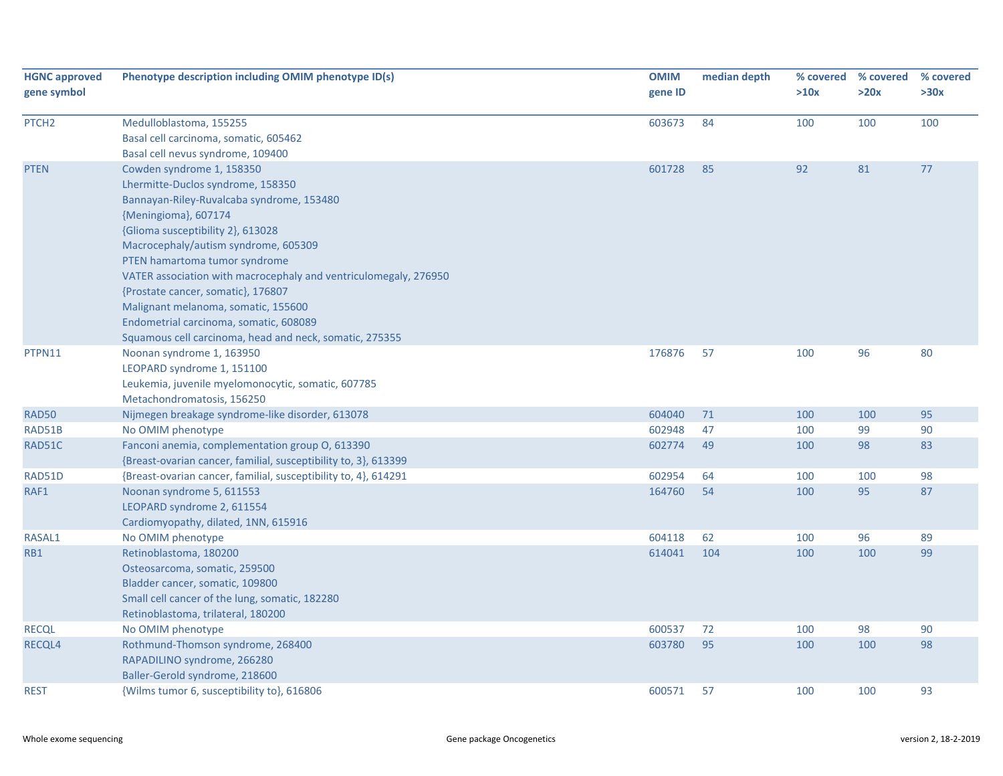| <b>HGNC approved</b><br>gene symbol | Phenotype description including OMIM phenotype ID(s)                                                                                                                                                                                                                                                                                                                                                                                                                                                    | <b>OMIM</b><br>gene ID | median depth | >10x | % covered % covered<br>>20x | % covered<br>>30x |
|-------------------------------------|---------------------------------------------------------------------------------------------------------------------------------------------------------------------------------------------------------------------------------------------------------------------------------------------------------------------------------------------------------------------------------------------------------------------------------------------------------------------------------------------------------|------------------------|--------------|------|-----------------------------|-------------------|
| PTCH <sub>2</sub>                   | Medulloblastoma, 155255<br>Basal cell carcinoma, somatic, 605462<br>Basal cell nevus syndrome, 109400                                                                                                                                                                                                                                                                                                                                                                                                   | 603673                 | 84           | 100  | 100                         | 100               |
| <b>PTEN</b>                         | Cowden syndrome 1, 158350<br>Lhermitte-Duclos syndrome, 158350<br>Bannayan-Riley-Ruvalcaba syndrome, 153480<br>{Meningioma}, 607174<br>{Glioma susceptibility 2}, 613028<br>Macrocephaly/autism syndrome, 605309<br>PTEN hamartoma tumor syndrome<br>VATER association with macrocephaly and ventriculomegaly, 276950<br>{Prostate cancer, somatic}, 176807<br>Malignant melanoma, somatic, 155600<br>Endometrial carcinoma, somatic, 608089<br>Squamous cell carcinoma, head and neck, somatic, 275355 | 601728                 | 85           | 92   | 81                          | 77                |
| PTPN11                              | Noonan syndrome 1, 163950<br>LEOPARD syndrome 1, 151100<br>Leukemia, juvenile myelomonocytic, somatic, 607785<br>Metachondromatosis, 156250                                                                                                                                                                                                                                                                                                                                                             | 176876                 | 57           | 100  | 96                          | 80                |
| RAD50                               | Nijmegen breakage syndrome-like disorder, 613078                                                                                                                                                                                                                                                                                                                                                                                                                                                        | 604040                 | 71           | 100  | 100                         | 95                |
| RAD51B                              | No OMIM phenotype                                                                                                                                                                                                                                                                                                                                                                                                                                                                                       | 602948                 | 47           | 100  | 99                          | 90                |
| RAD51C                              | Fanconi anemia, complementation group O, 613390<br>{Breast-ovarian cancer, familial, susceptibility to, 3}, 613399                                                                                                                                                                                                                                                                                                                                                                                      | 602774                 | 49           | 100  | 98                          | 83                |
| RAD51D                              | {Breast-ovarian cancer, familial, susceptibility to, 4}, 614291                                                                                                                                                                                                                                                                                                                                                                                                                                         | 602954                 | 64           | 100  | 100                         | 98                |
| RAF1                                | Noonan syndrome 5, 611553<br>LEOPARD syndrome 2, 611554<br>Cardiomyopathy, dilated, 1NN, 615916                                                                                                                                                                                                                                                                                                                                                                                                         | 164760                 | 54           | 100  | 95                          | 87                |
| RASAL1                              | No OMIM phenotype                                                                                                                                                                                                                                                                                                                                                                                                                                                                                       | 604118                 | 62           | 100  | 96                          | 89                |
| RB1                                 | Retinoblastoma, 180200<br>Osteosarcoma, somatic, 259500<br>Bladder cancer, somatic, 109800<br>Small cell cancer of the lung, somatic, 182280<br>Retinoblastoma, trilateral, 180200                                                                                                                                                                                                                                                                                                                      | 614041                 | 104          | 100  | 100                         | 99                |
| <b>RECQL</b>                        | No OMIM phenotype                                                                                                                                                                                                                                                                                                                                                                                                                                                                                       | 600537                 | 72           | 100  | 98                          | 90                |
| <b>RECQL4</b>                       | Rothmund-Thomson syndrome, 268400<br>RAPADILINO syndrome, 266280<br>Baller-Gerold syndrome, 218600                                                                                                                                                                                                                                                                                                                                                                                                      | 603780                 | 95           | 100  | 100                         | 98                |
| <b>REST</b>                         | {Wilms tumor 6, susceptibility to}, 616806                                                                                                                                                                                                                                                                                                                                                                                                                                                              | 600571                 | 57           | 100  | 100                         | 93                |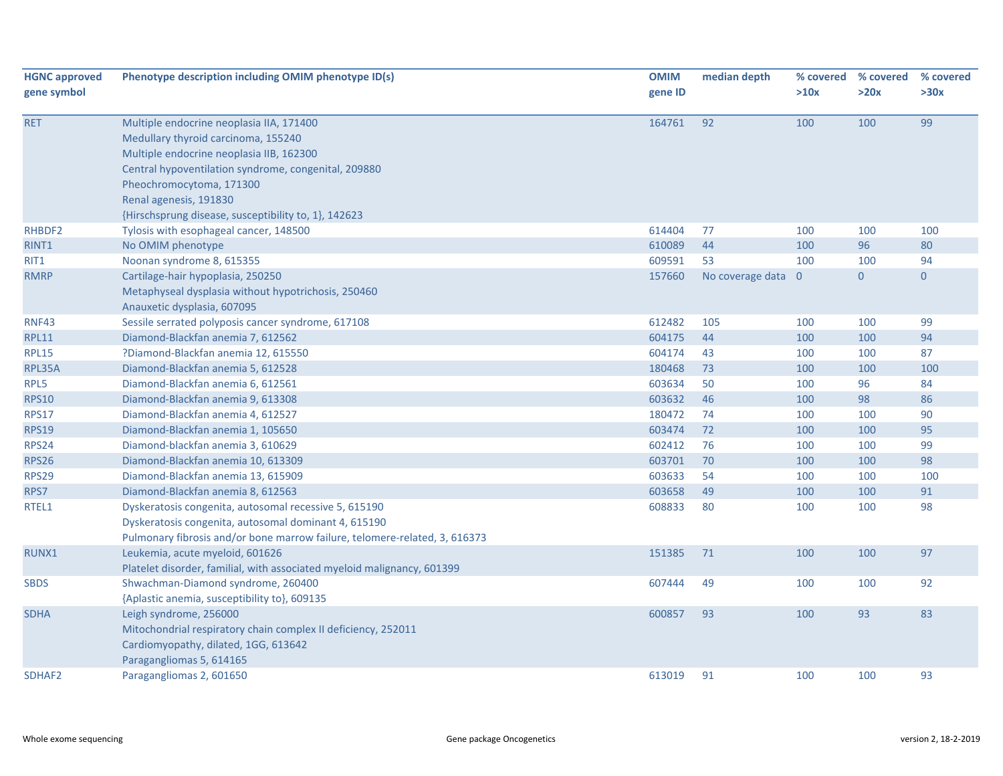| <b>HGNC approved</b><br>gene symbol | Phenotype description including OMIM phenotype ID(s)                                                                                                                                                                                      | <b>OMIM</b><br>gene ID | median depth             | >10x | % covered % covered<br>>20x | % covered<br>>30x    |
|-------------------------------------|-------------------------------------------------------------------------------------------------------------------------------------------------------------------------------------------------------------------------------------------|------------------------|--------------------------|------|-----------------------------|----------------------|
| <b>RET</b>                          | Multiple endocrine neoplasia IIA, 171400<br>Medullary thyroid carcinoma, 155240<br>Multiple endocrine neoplasia IIB, 162300<br>Central hypoventilation syndrome, congenital, 209880<br>Pheochromocytoma, 171300<br>Renal agenesis, 191830 | 164761                 | 92                       | 100  | 100                         | 99                   |
|                                     | {Hirschsprung disease, susceptibility to, 1}, 142623                                                                                                                                                                                      |                        |                          |      |                             |                      |
| RHBDF2                              | Tylosis with esophageal cancer, 148500                                                                                                                                                                                                    | 614404                 | 77                       | 100  | 100                         | 100                  |
| RINT1                               | No OMIM phenotype                                                                                                                                                                                                                         | 610089                 | 44                       | 100  | 96                          | 80                   |
| RIT1<br><b>RMRP</b>                 | Noonan syndrome 8, 615355<br>Cartilage-hair hypoplasia, 250250                                                                                                                                                                            | 609591<br>157660       | 53<br>No coverage data 0 | 100  | 100<br>$\overline{0}$       | 94<br>$\overline{0}$ |
|                                     | Metaphyseal dysplasia without hypotrichosis, 250460<br>Anauxetic dysplasia, 607095                                                                                                                                                        |                        |                          |      |                             |                      |
| <b>RNF43</b>                        | Sessile serrated polyposis cancer syndrome, 617108                                                                                                                                                                                        | 612482                 | 105                      | 100  | 100                         | 99                   |
| RPL11                               | Diamond-Blackfan anemia 7, 612562                                                                                                                                                                                                         | 604175                 | 44                       | 100  | 100                         | 94                   |
| <b>RPL15</b>                        | ?Diamond-Blackfan anemia 12, 615550                                                                                                                                                                                                       | 604174                 | 43                       | 100  | 100                         | 87                   |
| RPL35A                              | Diamond-Blackfan anemia 5, 612528                                                                                                                                                                                                         | 180468                 | 73                       | 100  | 100                         | 100                  |
| RPL5                                | Diamond-Blackfan anemia 6, 612561                                                                                                                                                                                                         | 603634                 | 50                       | 100  | 96                          | 84                   |
| <b>RPS10</b>                        | Diamond-Blackfan anemia 9, 613308                                                                                                                                                                                                         | 603632                 | 46                       | 100  | 98                          | 86                   |
| <b>RPS17</b>                        | Diamond-Blackfan anemia 4, 612527                                                                                                                                                                                                         | 180472                 | 74                       | 100  | 100                         | 90                   |
| <b>RPS19</b>                        | Diamond-Blackfan anemia 1, 105650                                                                                                                                                                                                         | 603474                 | 72                       | 100  | 100                         | 95                   |
| <b>RPS24</b>                        | Diamond-blackfan anemia 3, 610629                                                                                                                                                                                                         | 602412                 | 76                       | 100  | 100                         | 99                   |
| <b>RPS26</b>                        | Diamond-Blackfan anemia 10, 613309                                                                                                                                                                                                        | 603701                 | 70                       | 100  | 100                         | 98                   |
| <b>RPS29</b>                        | Diamond-Blackfan anemia 13, 615909                                                                                                                                                                                                        | 603633                 | 54                       | 100  | 100                         | 100                  |
| RPS7                                | Diamond-Blackfan anemia 8, 612563                                                                                                                                                                                                         | 603658                 | 49                       | 100  | 100                         | 91                   |
| RTEL1                               | Dyskeratosis congenita, autosomal recessive 5, 615190<br>Dyskeratosis congenita, autosomal dominant 4, 615190<br>Pulmonary fibrosis and/or bone marrow failure, telomere-related, 3, 616373                                               | 608833                 | 80                       | 100  | 100                         | 98                   |
| RUNX1                               | Leukemia, acute myeloid, 601626<br>Platelet disorder, familial, with associated myeloid malignancy, 601399                                                                                                                                | 151385                 | 71                       | 100  | 100                         | 97                   |
| <b>SBDS</b>                         | Shwachman-Diamond syndrome, 260400<br>{Aplastic anemia, susceptibility to}, 609135                                                                                                                                                        | 607444                 | 49                       | 100  | 100                         | 92                   |
| <b>SDHA</b>                         | Leigh syndrome, 256000<br>Mitochondrial respiratory chain complex II deficiency, 252011<br>Cardiomyopathy, dilated, 1GG, 613642<br>Paragangliomas 5, 614165                                                                               | 600857                 | 93                       | 100  | 93                          | 83                   |
| SDHAF2                              | Paragangliomas 2, 601650                                                                                                                                                                                                                  | 613019                 | 91                       | 100  | 100                         | 93                   |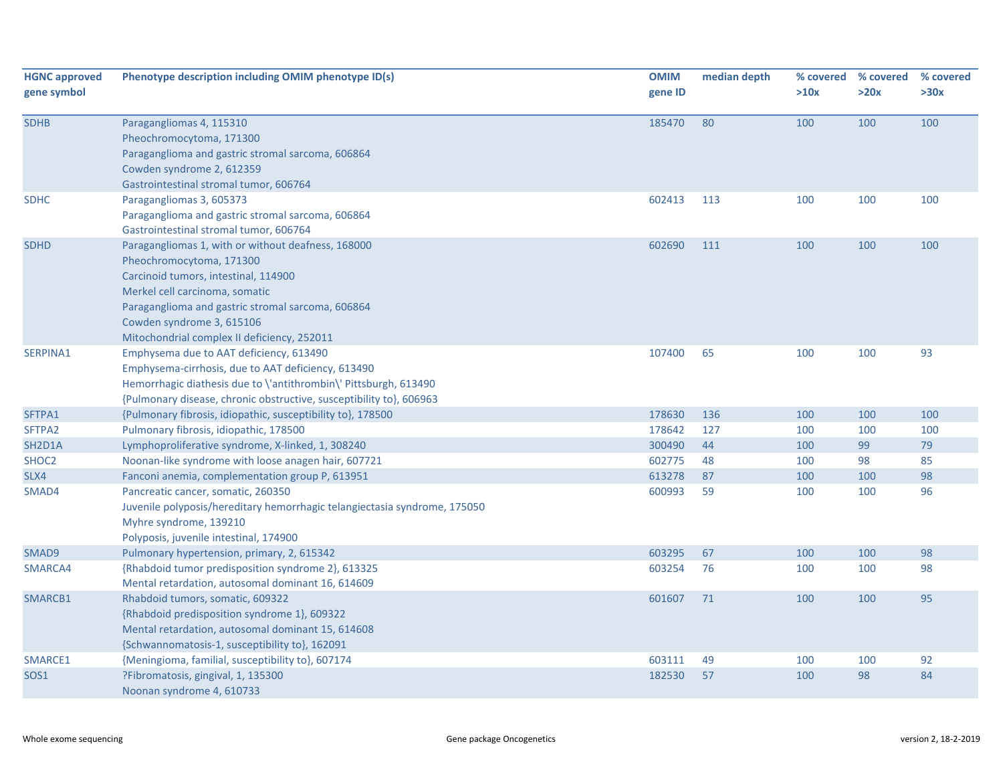| <b>HGNC approved</b><br>gene symbol | Phenotype description including OMIM phenotype ID(s)                                                                                                                                                                                                                                      | <b>OMIM</b><br>gene ID | median depth | >10x | % covered % covered<br>>20x | % covered<br>>30x |
|-------------------------------------|-------------------------------------------------------------------------------------------------------------------------------------------------------------------------------------------------------------------------------------------------------------------------------------------|------------------------|--------------|------|-----------------------------|-------------------|
| <b>SDHB</b>                         | Paragangliomas 4, 115310<br>Pheochromocytoma, 171300<br>Paraganglioma and gastric stromal sarcoma, 606864<br>Cowden syndrome 2, 612359<br>Gastrointestinal stromal tumor, 606764                                                                                                          | 185470                 | 80           | 100  | 100                         | 100               |
| <b>SDHC</b>                         | Paragangliomas 3, 605373<br>Paraganglioma and gastric stromal sarcoma, 606864<br>Gastrointestinal stromal tumor, 606764                                                                                                                                                                   | 602413                 | 113          | 100  | 100                         | 100               |
| <b>SDHD</b>                         | Paragangliomas 1, with or without deafness, 168000<br>Pheochromocytoma, 171300<br>Carcinoid tumors, intestinal, 114900<br>Merkel cell carcinoma, somatic<br>Paraganglioma and gastric stromal sarcoma, 606864<br>Cowden syndrome 3, 615106<br>Mitochondrial complex II deficiency, 252011 | 602690                 | 111          | 100  | 100                         | 100               |
| SERPINA1                            | Emphysema due to AAT deficiency, 613490<br>Emphysema-cirrhosis, due to AAT deficiency, 613490<br>Hemorrhagic diathesis due to \'antithrombin\' Pittsburgh, 613490<br>{Pulmonary disease, chronic obstructive, susceptibility to}, 606963                                                  | 107400                 | 65           | 100  | 100                         | 93                |
| SFTPA1                              | {Pulmonary fibrosis, idiopathic, susceptibility to}, 178500                                                                                                                                                                                                                               | 178630                 | 136          | 100  | 100                         | 100               |
| SFTPA2                              | Pulmonary fibrosis, idiopathic, 178500                                                                                                                                                                                                                                                    | 178642                 | 127          | 100  | 100                         | 100               |
| SH2D1A                              | Lymphoproliferative syndrome, X-linked, 1, 308240                                                                                                                                                                                                                                         | 300490                 | 44           | 100  | 99                          | 79                |
| SHOC2                               | Noonan-like syndrome with loose anagen hair, 607721                                                                                                                                                                                                                                       | 602775                 | 48           | 100  | 98                          | 85                |
| SLX4                                | Fanconi anemia, complementation group P, 613951                                                                                                                                                                                                                                           | 613278                 | 87           | 100  | 100                         | 98                |
| SMAD4                               | Pancreatic cancer, somatic, 260350<br>Juvenile polyposis/hereditary hemorrhagic telangiectasia syndrome, 175050<br>Myhre syndrome, 139210<br>Polyposis, juvenile intestinal, 174900                                                                                                       | 600993                 | 59           | 100  | 100                         | 96                |
| SMAD9                               | Pulmonary hypertension, primary, 2, 615342                                                                                                                                                                                                                                                | 603295                 | 67           | 100  | 100                         | 98                |
| SMARCA4                             | {Rhabdoid tumor predisposition syndrome 2}, 613325<br>Mental retardation, autosomal dominant 16, 614609                                                                                                                                                                                   | 603254                 | 76           | 100  | 100                         | 98                |
| SMARCB1                             | Rhabdoid tumors, somatic, 609322<br>{Rhabdoid predisposition syndrome 1}, 609322<br>Mental retardation, autosomal dominant 15, 614608<br>{Schwannomatosis-1, susceptibility to}, 162091                                                                                                   | 601607                 | 71           | 100  | 100                         | 95                |
| SMARCE1                             | {Meningioma, familial, susceptibility to}, 607174                                                                                                                                                                                                                                         | 603111                 | 49           | 100  | 100                         | 92                |
| <b>SOS1</b>                         | ?Fibromatosis, gingival, 1, 135300<br>Noonan syndrome 4, 610733                                                                                                                                                                                                                           | 182530                 | 57           | 100  | 98                          | 84                |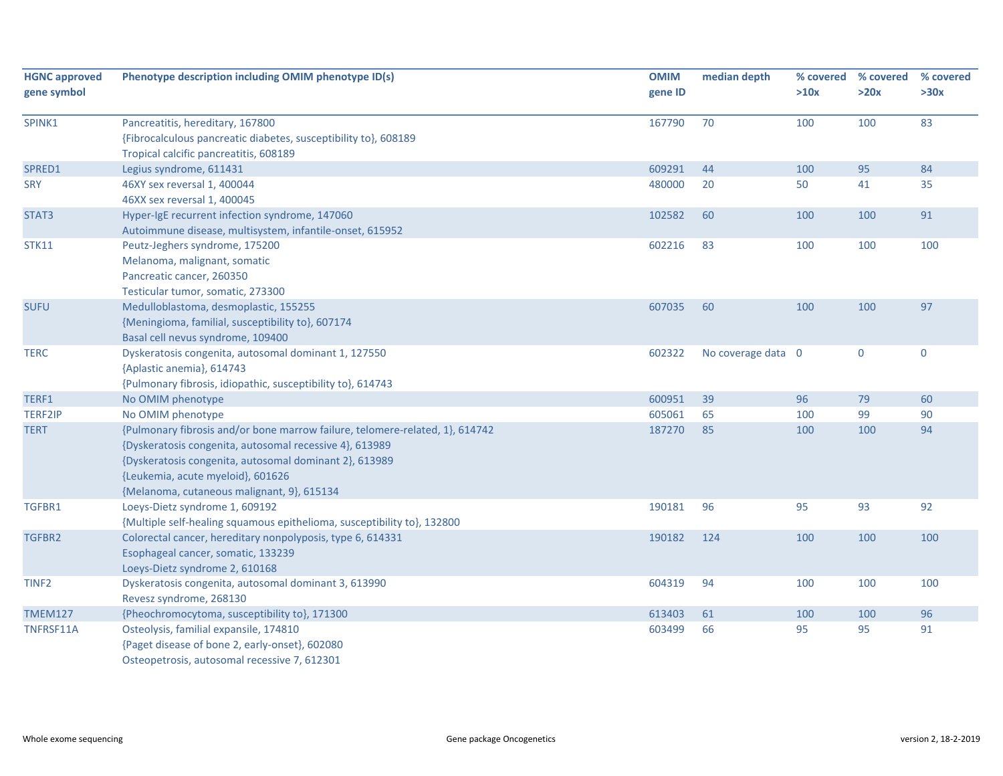| <b>HGNC approved</b><br>gene symbol | Phenotype description including OMIM phenotype ID(s)                         | <b>OMIM</b><br>gene ID | median depth       | % covered<br>>10x | % covered<br>>20x | % covered<br>>30x |
|-------------------------------------|------------------------------------------------------------------------------|------------------------|--------------------|-------------------|-------------------|-------------------|
|                                     |                                                                              |                        |                    |                   |                   |                   |
| SPINK1                              | Pancreatitis, hereditary, 167800                                             | 167790                 | 70                 | 100               | 100               | 83                |
|                                     | {Fibrocalculous pancreatic diabetes, susceptibility to}, 608189              |                        |                    |                   |                   |                   |
|                                     | Tropical calcific pancreatitis, 608189                                       |                        |                    |                   |                   |                   |
| SPRED1                              | Legius syndrome, 611431                                                      | 609291                 | 44                 | 100               | 95                | 84                |
| <b>SRY</b>                          | 46XY sex reversal 1, 400044                                                  | 480000                 | 20                 | 50                | 41                | 35                |
|                                     | 46XX sex reversal 1, 400045                                                  |                        |                    |                   |                   |                   |
| STAT3                               | Hyper-IgE recurrent infection syndrome, 147060                               | 102582                 | 60                 | 100               | 100               | 91                |
|                                     | Autoimmune disease, multisystem, infantile-onset, 615952                     |                        |                    |                   |                   |                   |
| <b>STK11</b>                        | Peutz-Jeghers syndrome, 175200                                               | 602216                 | 83                 | 100               | 100               | 100               |
|                                     | Melanoma, malignant, somatic                                                 |                        |                    |                   |                   |                   |
|                                     | Pancreatic cancer, 260350                                                    |                        |                    |                   |                   |                   |
|                                     | Testicular tumor, somatic, 273300                                            |                        |                    |                   |                   |                   |
| <b>SUFU</b>                         | Medulloblastoma, desmoplastic, 155255                                        | 607035                 | 60                 | 100               | 100               | 97                |
|                                     | {Meningioma, familial, susceptibility to}, 607174                            |                        |                    |                   |                   |                   |
|                                     | Basal cell nevus syndrome, 109400                                            |                        |                    |                   |                   |                   |
| <b>TERC</b>                         | Dyskeratosis congenita, autosomal dominant 1, 127550                         | 602322                 | No coverage data 0 |                   | $\pmb{0}$         | $\pmb{0}$         |
|                                     | {Aplastic anemia}, 614743                                                    |                        |                    |                   |                   |                   |
|                                     | {Pulmonary fibrosis, idiopathic, susceptibility to}, 614743                  |                        |                    |                   |                   |                   |
| TERF1                               | No OMIM phenotype                                                            | 600951                 | 39                 | 96                | 79                | 60                |
| <b>TERF2IP</b>                      | No OMIM phenotype                                                            | 605061                 | 65                 | 100               | 99                | 90                |
| <b>TERT</b>                         | {Pulmonary fibrosis and/or bone marrow failure, telomere-related, 1}, 614742 | 187270                 | 85                 | 100               | 100               | 94                |
|                                     | {Dyskeratosis congenita, autosomal recessive 4}, 613989                      |                        |                    |                   |                   |                   |
|                                     | {Dyskeratosis congenita, autosomal dominant 2}, 613989                       |                        |                    |                   |                   |                   |
|                                     | {Leukemia, acute myeloid}, 601626                                            |                        |                    |                   |                   |                   |
|                                     | {Melanoma, cutaneous malignant, 9}, 615134                                   |                        |                    |                   |                   |                   |
| TGFBR1                              | Loeys-Dietz syndrome 1, 609192                                               | 190181                 | 96                 | 95                | 93                | 92                |
|                                     | {Multiple self-healing squamous epithelioma, susceptibility to}, 132800      |                        |                    |                   |                   |                   |
| TGFBR2                              | Colorectal cancer, hereditary nonpolyposis, type 6, 614331                   | 190182                 | 124                | 100               | 100               | 100               |
|                                     | Esophageal cancer, somatic, 133239                                           |                        |                    |                   |                   |                   |
|                                     | Loeys-Dietz syndrome 2, 610168                                               |                        |                    |                   |                   |                   |
| TINF <sub>2</sub>                   | Dyskeratosis congenita, autosomal dominant 3, 613990                         | 604319                 | 94                 | 100               | 100               | 100               |
|                                     | Revesz syndrome, 268130                                                      |                        |                    |                   |                   |                   |
| <b>TMEM127</b>                      | {Pheochromocytoma, susceptibility to}, 171300                                | 613403                 | 61                 | 100               | 100               | 96                |
| TNFRSF11A                           | Osteolysis, familial expansile, 174810                                       | 603499                 | 66                 | 95                | 95                | 91                |
|                                     | {Paget disease of bone 2, early-onset}, 602080                               |                        |                    |                   |                   |                   |
|                                     | Osteopetrosis, autosomal recessive 7, 612301                                 |                        |                    |                   |                   |                   |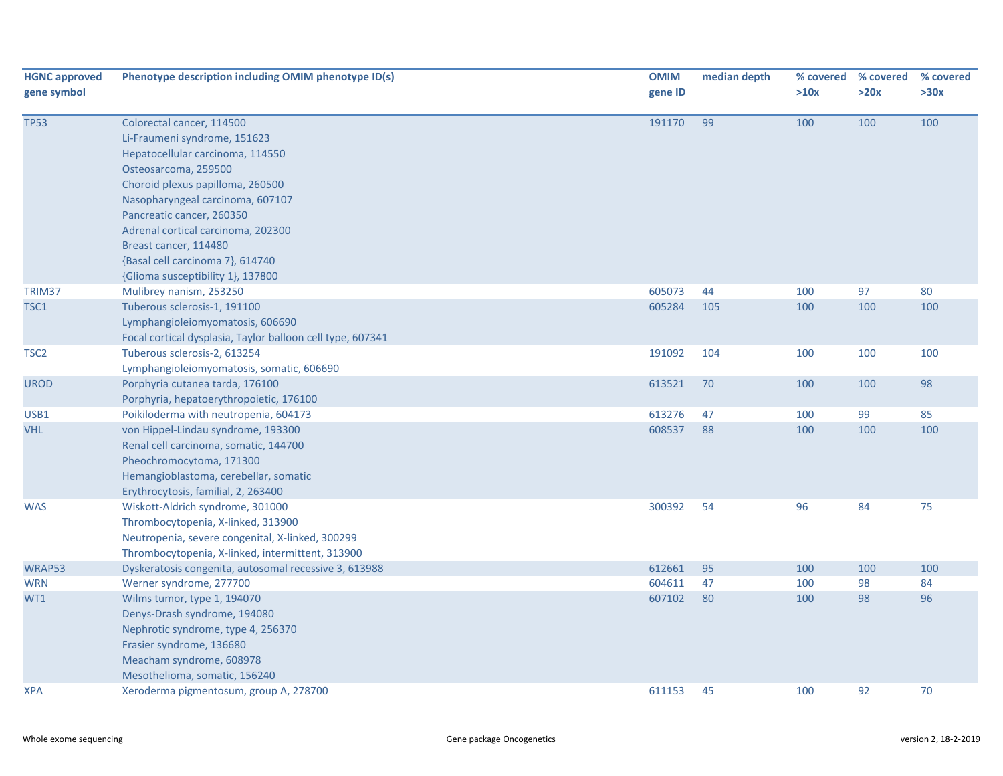| <b>HGNC approved</b><br>gene symbol | Phenotype description including OMIM phenotype ID(s)                                                                                                                                                                                                                                                                                                               | <b>OMIM</b><br>gene ID | median depth | % covered<br>>10x | % covered<br>>20x | % covered<br>>30x |
|-------------------------------------|--------------------------------------------------------------------------------------------------------------------------------------------------------------------------------------------------------------------------------------------------------------------------------------------------------------------------------------------------------------------|------------------------|--------------|-------------------|-------------------|-------------------|
| <b>TP53</b>                         | Colorectal cancer, 114500<br>Li-Fraumeni syndrome, 151623<br>Hepatocellular carcinoma, 114550<br>Osteosarcoma, 259500<br>Choroid plexus papilloma, 260500<br>Nasopharyngeal carcinoma, 607107<br>Pancreatic cancer, 260350<br>Adrenal cortical carcinoma, 202300<br>Breast cancer, 114480<br>{Basal cell carcinoma 7}, 614740<br>{Glioma susceptibility 1}, 137800 | 191170                 | 99           | 100               | 100               | 100               |
| TRIM37                              | Mulibrey nanism, 253250                                                                                                                                                                                                                                                                                                                                            | 605073                 | 44           | 100               | 97                | 80                |
| TSC1                                | Tuberous sclerosis-1, 191100<br>Lymphangioleiomyomatosis, 606690<br>Focal cortical dysplasia, Taylor balloon cell type, 607341                                                                                                                                                                                                                                     | 605284                 | 105          | 100               | 100               | 100               |
| TSC <sub>2</sub>                    | Tuberous sclerosis-2, 613254<br>Lymphangioleiomyomatosis, somatic, 606690                                                                                                                                                                                                                                                                                          | 191092                 | 104          | 100               | 100               | 100               |
| <b>UROD</b>                         | Porphyria cutanea tarda, 176100<br>Porphyria, hepatoerythropoietic, 176100                                                                                                                                                                                                                                                                                         | 613521                 | 70           | 100               | 100               | 98                |
| USB1                                | Poikiloderma with neutropenia, 604173                                                                                                                                                                                                                                                                                                                              | 613276                 | 47           | 100               | 99                | 85                |
| <b>VHL</b>                          | von Hippel-Lindau syndrome, 193300<br>Renal cell carcinoma, somatic, 144700<br>Pheochromocytoma, 171300<br>Hemangioblastoma, cerebellar, somatic<br>Erythrocytosis, familial, 2, 263400                                                                                                                                                                            | 608537                 | 88           | 100               | 100               | 100               |
| <b>WAS</b>                          | Wiskott-Aldrich syndrome, 301000<br>Thrombocytopenia, X-linked, 313900<br>Neutropenia, severe congenital, X-linked, 300299<br>Thrombocytopenia, X-linked, intermittent, 313900                                                                                                                                                                                     | 300392                 | 54           | 96                | 84                | 75                |
| WRAP53                              | Dyskeratosis congenita, autosomal recessive 3, 613988                                                                                                                                                                                                                                                                                                              | 612661                 | 95           | 100               | 100               | 100               |
| <b>WRN</b>                          | Werner syndrome, 277700                                                                                                                                                                                                                                                                                                                                            | 604611                 | 47           | 100               | 98                | 84                |
| WT1                                 | Wilms tumor, type 1, 194070<br>Denys-Drash syndrome, 194080<br>Nephrotic syndrome, type 4, 256370<br>Frasier syndrome, 136680<br>Meacham syndrome, 608978<br>Mesothelioma, somatic, 156240                                                                                                                                                                         | 607102                 | 80           | 100               | 98                | 96                |
| XPA                                 | Xeroderma pigmentosum, group A, 278700                                                                                                                                                                                                                                                                                                                             | 611153                 | 45           | 100               | 92                | 70                |